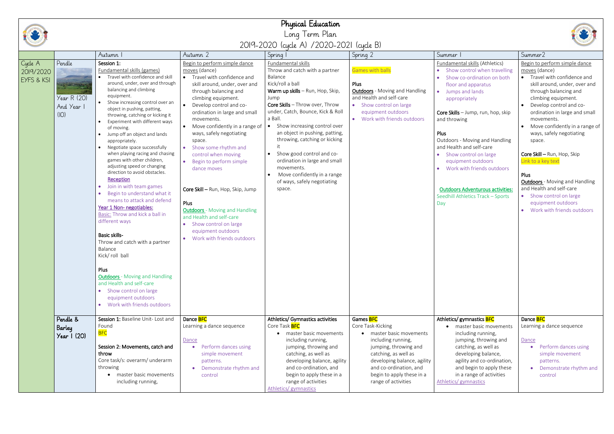# Physical Education Long Term Plan 2019-2020 (cycle A) /2020-2021 (cycle B)

|                                    |                                           | Autumn                                                                                                                                                                                                                                                                                                                                                                                                                                                                                                                                                                                                                                                                                                                                                                                                                                                                                                                                                                         | Autumn 2                                                                                                                                                                                                                                                                                                                                                                                                                                                                                                                                                                                                              | Spring                                                                                                                                                                                                                                                                                                                                                                                                                                                                    | Spring 2                                                                                                                                                                                                                                              | Summer                                                                                                                                                                                                                                                                                                                                                                                                                                                    | Summer2                                                                                                                                                                                                                                                                                                                                                                                                                                                                                                                            |
|------------------------------------|-------------------------------------------|--------------------------------------------------------------------------------------------------------------------------------------------------------------------------------------------------------------------------------------------------------------------------------------------------------------------------------------------------------------------------------------------------------------------------------------------------------------------------------------------------------------------------------------------------------------------------------------------------------------------------------------------------------------------------------------------------------------------------------------------------------------------------------------------------------------------------------------------------------------------------------------------------------------------------------------------------------------------------------|-----------------------------------------------------------------------------------------------------------------------------------------------------------------------------------------------------------------------------------------------------------------------------------------------------------------------------------------------------------------------------------------------------------------------------------------------------------------------------------------------------------------------------------------------------------------------------------------------------------------------|---------------------------------------------------------------------------------------------------------------------------------------------------------------------------------------------------------------------------------------------------------------------------------------------------------------------------------------------------------------------------------------------------------------------------------------------------------------------------|-------------------------------------------------------------------------------------------------------------------------------------------------------------------------------------------------------------------------------------------------------|-----------------------------------------------------------------------------------------------------------------------------------------------------------------------------------------------------------------------------------------------------------------------------------------------------------------------------------------------------------------------------------------------------------------------------------------------------------|------------------------------------------------------------------------------------------------------------------------------------------------------------------------------------------------------------------------------------------------------------------------------------------------------------------------------------------------------------------------------------------------------------------------------------------------------------------------------------------------------------------------------------|
| Cycle A<br>2019/2020<br>EYFS & KSI | Pendle<br>Year R (20)<br>And Year<br>(IO) | Session 1:<br>Fundamental skills (games)<br>Travel with confidence and skill<br>around, under, over and through<br>balancing and climbing<br>equipment.<br>• Show increasing control over an<br>object in pushing, patting,<br>throwing, catching or kicking it<br>Experiment with different ways<br>of moving.<br>Jump off an object and lands<br>appropriately.<br>Negotiate space successfully<br>when playing racing and chasing<br>games with other children,<br>adjusting speed or changing<br>direction to avoid obstacles.<br>Reception<br>Join in with team games<br>Begin to understand what it<br>means to attack and defend<br>Year 1 Non- negotiables:<br>Basic: Throw and kick a ball in<br>different ways<br><b>Basic skills-</b><br>Throw and catch with a partner<br>Balance<br>Kick/ roll ball<br>Plus<br><b>Outdoors</b> - Moving and Handling<br>and Health and self-care<br>• Show control on large<br>equipment outdoors<br>• Work with friends outdoors | Begin to perform simple dance<br>moves (dance)<br>• Travel with confidence and<br>skill around, under, over and<br>through balancing and<br>climbing equipment.<br>• Develop control and co-<br>ordination in large and small<br>movements.<br>• Move confidently in a range of<br>ways, safely negotiating<br>space.<br>• Show some rhythm and<br>control when moving<br>• Begin to perform simple<br>dance moves<br>Core Skill - Run, Hop, Skip, Jump<br>Plus<br><b>Outdoors</b> - Moving and Handling<br>and Health and self-care<br>• Show control on large<br>equipment outdoors<br>• Work with friends outdoors | Fundamental skills<br>Throw and catch with a partner<br>Balance<br>Kick/roll a ball<br>Warm up skills - Run, Hop, Skip,<br>Jump<br>Core Skills - Throw over, Throw<br>under, Catch, Bounce, Kick & Roll<br>a Ball.<br>Show increasing control over<br>an object in pushing, patting,<br>throwing, catching or kicking<br>Show good control and co-<br>ordination in large and small<br>movements.<br>Move confidently in a range<br>of ways, safely negotiating<br>space. | <b>Games with balls</b><br>Plus<br><b>Outdoors</b> - Moving and Handling<br>and Health and self-care<br>• Show control on large<br>equipment outdoors<br>• Work with friends outdoors                                                                 | Fundamental skills (Athletics)<br>• Show control when travelling<br>Show co-ordination on both<br>floor and apparatus<br>Jumps and lands<br>appropriately<br>Core Skills - Jump, run, hop, skip<br>and throwing<br>Plus<br>Outdoors - Moving and Handling<br>and Health and self-care<br>Show control on large<br>equipment outdoors<br>Work with friends outdoors<br><b>Outdoors Adventurous activities:</b><br>Seedhill Athletics Track - Sports<br>Day | Begin to perform simple dance<br>moves (dance)<br>• Travel with confidence and<br>skill around, under, over and<br>through balancing and<br>climbing equipment.<br>Develop control and co-<br>ordination in large and small<br>movements.<br>Move confidently in a range of<br>ways, safely negotiating<br>space.<br>Core Skill - Run, Hop, Skip<br>Link to a key text<br>Plus<br><b>Outdoors</b> - Moving and Handling<br>and Health and self-care<br>• Show control on large<br>equipment outdoors<br>Work with friends outdoors |
|                                    | Pendle &<br>Barley<br>Year $\vert$ (20)   | Session 1: Baseline Unit-Lost and<br>Found<br><b>BFC</b><br>Session 2: Movements, catch and<br>throw<br>Core task/s: overarm/ underarm<br>throwing<br>master basic movements<br>$\bullet$<br>including running,                                                                                                                                                                                                                                                                                                                                                                                                                                                                                                                                                                                                                                                                                                                                                                | Dance <b>BFC</b><br>Learning a dance sequence<br>Dance<br>Perform dances using<br>simple movement<br>patterns.<br>Demonstrate rhythm and<br>control                                                                                                                                                                                                                                                                                                                                                                                                                                                                   | Athletics/ Gymnastics activities<br>Core Task <b>BFC</b><br>• master basic movements<br>including running,<br>jumping, throwing and<br>catching, as well as<br>developing balance, agility<br>and co-ordination, and<br>begin to apply these in a<br>range of activities<br>Athletics/ gymnastics                                                                                                                                                                         | Games <b>BFC</b><br>Core Task-Kicking<br>• master basic movements<br>including running,<br>jumping, throwing and<br>catching, as well as<br>developing balance, agility<br>and co-ordination, and<br>begin to apply these in a<br>range of activities | Athletics/ gymnastics <b>BFC</b><br>• master basic movements<br>including running,<br>jumping, throwing and<br>catching, as well as<br>developing balance,<br>agility and co-ordination,<br>and begin to apply these<br>in a range of activities<br>Athletics/ gymnastics                                                                                                                                                                                 | Dance <b>BFC</b><br>Learning a dance sequence<br>Dance<br>Perform dances using<br>simple movement<br>patterns.<br>Demonstrate rhythm and<br>control                                                                                                                                                                                                                                                                                                                                                                                |

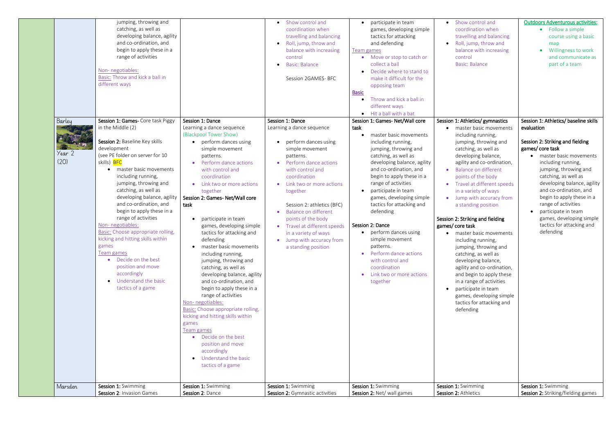| Marsden                  | Session 1: Swimming<br>Session 2: Invasion Games                                                                                                                                                                                                                                                                                                                                                                                                                                                                                                                                                         | Session 1: Swimming<br>Session 2: Dance                                                                                                                                                                                                                                                                                                                                                                                                                                                                                                                                                                                                                                                                                                                                                                                   | Session 1: Swimming<br>Session 2: Gymnastic activities                                                                                                                                                                                                                                                                                                                                           | Session 1: Swimming<br>Session 2: Net/ wall games                                                                                                                                                                                                                                                                                                                                                                                                                                                                                                                | Session 1: Swimming<br>Session 2: Athletics                                                                                                                                                                                                                                                                                                                                                                                                                                                                                                                                                                                                                                                                                                | Session 1: Swimming<br>Session 2: Striking/fielding games                                                                                                                                                                                                                                                                                                                                                               |
|--------------------------|----------------------------------------------------------------------------------------------------------------------------------------------------------------------------------------------------------------------------------------------------------------------------------------------------------------------------------------------------------------------------------------------------------------------------------------------------------------------------------------------------------------------------------------------------------------------------------------------------------|---------------------------------------------------------------------------------------------------------------------------------------------------------------------------------------------------------------------------------------------------------------------------------------------------------------------------------------------------------------------------------------------------------------------------------------------------------------------------------------------------------------------------------------------------------------------------------------------------------------------------------------------------------------------------------------------------------------------------------------------------------------------------------------------------------------------------|--------------------------------------------------------------------------------------------------------------------------------------------------------------------------------------------------------------------------------------------------------------------------------------------------------------------------------------------------------------------------------------------------|------------------------------------------------------------------------------------------------------------------------------------------------------------------------------------------------------------------------------------------------------------------------------------------------------------------------------------------------------------------------------------------------------------------------------------------------------------------------------------------------------------------------------------------------------------------|--------------------------------------------------------------------------------------------------------------------------------------------------------------------------------------------------------------------------------------------------------------------------------------------------------------------------------------------------------------------------------------------------------------------------------------------------------------------------------------------------------------------------------------------------------------------------------------------------------------------------------------------------------------------------------------------------------------------------------------------|-------------------------------------------------------------------------------------------------------------------------------------------------------------------------------------------------------------------------------------------------------------------------------------------------------------------------------------------------------------------------------------------------------------------------|
| Barley<br>Year 2<br>(20) | Session 1: Games- Core task Piggy<br>in the Middle (2)<br>Session 2: Baseline Key skills<br>development<br>(see PE folder on server for 10<br>skills) BFC<br>• master basic movements<br>including running,<br>jumping, throwing and<br>catching, as well as<br>developing balance, agility<br>and co-ordination, and<br>begin to apply these in a<br>range of activities<br>Non-negotiables:<br>Basic: Choose appropriate rolling,<br>kicking and hitting skills within<br>games<br>Team games<br>• Decide on the best<br>position and move<br>accordingly<br>Understand the basic<br>tactics of a game | Session 1: Dance<br>Learning a dance sequence<br>(Blackpool Tower Show)<br>• perform dances using<br>simple movement<br>patterns.<br>Perform dance actions<br>with control and<br>coordination<br>Link two or more actions<br>together<br>Session 2: Games- Net/Wall core<br>task<br>participate in team<br>games, developing simple<br>tactics for attacking and<br>defending<br>master basic movements<br>including running,<br>jumping, throwing and<br>catching, as well as<br>developing balance, agility<br>and co-ordination, and<br>begin to apply these in a<br>range of activities<br>Non-negotiables:<br>Basic: Choose appropriate rolling,<br>kicking and hitting skills within<br>games<br>Team games<br>Decide on the best<br>position and move<br>accordingly<br>Understand the basic<br>tactics of a game | Session 1: Dance<br>Learning a dance sequence<br>perform dances using<br>simple movement<br>patterns.<br>Perform dance actions<br>with control and<br>coordination<br>Link two or more actions<br>together<br>Session 2: athletics (BFC)<br>Balance on different<br>points of the body<br>Travel at different speeds<br>in a variety of ways<br>• Jump with accuracy from<br>a standing position | • Hit a ball with a bat<br>Session 1: Games- Net/Wall core<br>task<br>master basic movements<br>including running,<br>jumping, throwing and<br>catching, as well as<br>developing balance, agility<br>and co-ordination, and<br>begin to apply these in a<br>range of activities<br>participate in team<br>games, developing simple<br>tactics for attacking and<br>defending<br>Session 2: Dance<br>perform dances using<br>simple movement<br>patterns.<br>• Perform dance actions<br>with control and<br>coordination<br>Link two or more actions<br>together | Session 1: Athletics/ gymnastics<br>master basic movements<br>including running,<br>jumping, throwing and<br>catching, as well as<br>developing balance,<br>agility and co-ordination,<br>Balance on different<br>$\bullet$<br>points of the body<br>Travel at different speeds<br>in a variety of ways<br>• Jump with accuracy from<br>a standing position<br>Session 2: Striking and fielding<br>games/core task<br>master basic movements<br>including running,<br>jumping, throwing and<br>catching, as well as<br>developing balance,<br>agility and co-ordination,<br>and begin to apply these<br>in a range of activities<br>participate in team<br>$\bullet$<br>games, developing simple<br>tactics for attacking and<br>defending | Session 1: Athletics/ baseline skills<br>evaluation<br>Session 2: Striking and fielding<br>games/core task<br>• master basic movements<br>including running,<br>jumping, throwing and<br>catching, as well as<br>developing balance, agility<br>and co-ordination, and<br>begin to apply these in a<br>range of activities<br>participate in team<br>games, developing simple<br>tactics for attacking and<br>defending |
|                          | catching, as well as<br>developing balance, agility<br>and co-ordination, and<br>begin to apply these in a<br>range of activities<br>Non-negotiables:<br>Basic: Throw and kick a ball in<br>different ways                                                                                                                                                                                                                                                                                                                                                                                               |                                                                                                                                                                                                                                                                                                                                                                                                                                                                                                                                                                                                                                                                                                                                                                                                                           | • Show control and<br>coordination when<br>travelling and balancing<br>Roll, jump, throw and<br>$\bullet$<br>balance with increasing<br>control<br><b>Basic: Balance</b><br>Session 2GAMES-BFC                                                                                                                                                                                                   | participate in team<br>$\bullet$<br>games, developing simple<br>tactics for attacking<br>and defending<br>Team games<br>• Move or stop to catch or<br>collect a ball<br>Decide where to stand to<br>make it difficult for the<br>opposing team<br><b>Basic</b><br>Throw and kick a ball in<br>different ways                                                                                                                                                                                                                                                     | • Show control and<br>coordination when<br>travelling and balancing<br>Roll, jump, throw and<br>$\bullet$<br>balance with increasing<br>control<br><b>Basic: Balance</b>                                                                                                                                                                                                                                                                                                                                                                                                                                                                                                                                                                   | <b>Outdoors Adventurous activities:</b><br>Follow a simple<br>$\bullet$<br>course using a basic<br>map<br>Willingness to work<br>and communicate as<br>part of a team                                                                                                                                                                                                                                                   |

 $\overline{\phantom{a}}$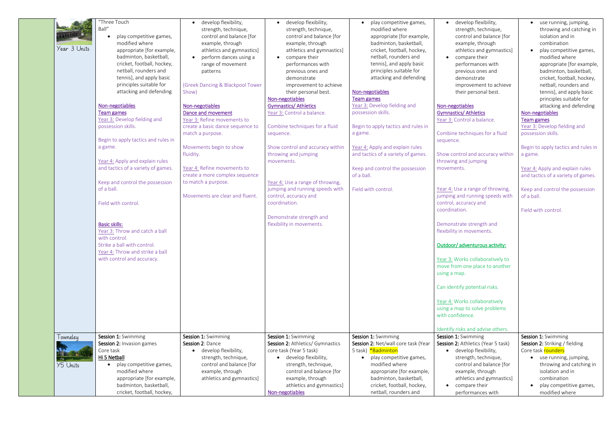|                 | "Three Touch                         | develop flexibility,             | develop flexibility,              | play competitive games,<br>$\bullet$ | develop flex                 |
|-----------------|--------------------------------------|----------------------------------|-----------------------------------|--------------------------------------|------------------------------|
|                 | Ball"                                | strength, technique,             | strength, technique,              | modified where                       | strength, ted                |
|                 | play competitive games,<br>$\bullet$ | control and balance [for         | control and balance [for          | appropriate [for example,            | control and                  |
|                 | modified where                       | example, through                 | example, through                  | badminton, basketball,               | example, thr                 |
| Year 3 Units    | appropriate [for example,            | athletics and gymnastics]        | athletics and gymnastics]         | cricket, football, hockey,           | athletics and                |
|                 | badminton, basketball,               | perform dances using a           | compare their<br>$\bullet$        | netball, rounders and                | compare the                  |
|                 | cricket, football, hockey,           | range of movement                | performances with                 | tennis], and apply basic             | performance                  |
|                 | netball, rounders and                | patterns                         | previous ones and                 | principles suitable for              | previous one                 |
|                 | tennis], and apply basic             |                                  | demonstrate                       | attacking and defending              | demonstrate                  |
|                 | principles suitable for              |                                  | improvement to achieve            |                                      |                              |
|                 | attacking and defending              | (Greek Dancing & Blackpool Tower | their personal best.              |                                      | improvemer                   |
|                 |                                      | Show)                            |                                   | Non-negotiables                      | their person                 |
|                 |                                      |                                  | Non-negotiables                   | <b>Team games</b>                    |                              |
|                 | Non-negotiables                      | Non-negotiables                  | <b>Gymnastics/ Athletics</b>      | Year 3: Develop fielding and         | Non-negotiables              |
|                 | <b>Team games</b>                    | Dance and movement               | Year 3: Control a balance.        | possession skills.                   | <b>Gymnastics/ Athletics</b> |
|                 | Year 3: Develop fielding and         | Year 3: Refine movements to      |                                   |                                      | Year 3: Control a bal        |
|                 | possession skills.                   | create a basic dance sequence to | Combine techniques for a fluid    | Begin to apply tactics and rules in  |                              |
|                 |                                      | match a purpose.                 | sequence.                         | a game.                              | Combine techniques           |
|                 | Begin to apply tactics and rules in  |                                  |                                   |                                      | sequence.                    |
|                 | a game.                              | Movements begin to show          | Show control and accuracy within  | Year 4: Apply and explain rules      |                              |
|                 |                                      | fluidity.                        | throwing and jumping              | and tactics of a variety of games.   | Show control and ac          |
|                 | Year 4: Apply and explain rules      |                                  | movements.                        |                                      | throwing and jumpir          |
|                 | and tactics of a variety of games.   | Year 4: Refine movements to      |                                   | Keep and control the possession      | movements.                   |
|                 |                                      | create a more complex sequence   |                                   | of a ball.                           |                              |
|                 | Keep and control the possession      | to match a purpose.              | Year 4: Use a range of throwing,  |                                      |                              |
|                 | of a ball.                           |                                  | jumping and running speeds with   | Field with control.                  | Year 4: Use a range of       |
|                 |                                      | Movements are clear and fluent.  | control, accuracy and             |                                      | jumping and running          |
|                 | Field with control.                  |                                  | coordination.                     |                                      | control, accuracy and        |
|                 |                                      |                                  |                                   |                                      | coordination.                |
|                 |                                      |                                  | Demonstrate strength and          |                                      |                              |
|                 | <b>Basic skills:</b>                 |                                  | flexibility in movements.         |                                      | Demonstrate strengt          |
|                 | Year 3: Throw and catch a ball       |                                  |                                   |                                      | flexibility in moveme        |
|                 | with control.                        |                                  |                                   |                                      |                              |
|                 | Strike a ball with control.          |                                  |                                   |                                      | Outdoor/adventurou           |
|                 | Year 4: Throw and strike a ball      |                                  |                                   |                                      |                              |
|                 | with control and accuracy.           |                                  |                                   |                                      | Year 3: Works collab         |
|                 |                                      |                                  |                                   |                                      | move from one place          |
|                 |                                      |                                  |                                   |                                      |                              |
|                 |                                      |                                  |                                   |                                      | using a map.                 |
|                 |                                      |                                  |                                   |                                      |                              |
|                 |                                      |                                  |                                   |                                      | Can identify potentia        |
|                 |                                      |                                  |                                   |                                      |                              |
|                 |                                      |                                  |                                   |                                      | Year 4: Works collab         |
|                 |                                      |                                  |                                   |                                      | using a map to solve         |
|                 |                                      |                                  |                                   |                                      | with confidence.             |
|                 |                                      |                                  |                                   |                                      |                              |
|                 |                                      |                                  |                                   |                                      | Identify risks and adv       |
| Towneley        | Session 1: Swimming                  | Session 1: Swimming              | Session 1: Swimming               | Session 1: Swimming                  | Session 1: Swimming          |
|                 | Session 2: Invasion games            | Session 2: Dance                 | Session 2: Athletics/ Gymnastics  | Session 2: Net/wall core task (Year  | Session 2: Athletics (       |
|                 | Core task                            | develop flexibility,             | core task (Year 5 task)           | 5 task) *Badminton                   | develop flex                 |
|                 | Hi 5 Netball                         | strength, technique,             | develop flexibility,<br>$\bullet$ | play competitive games,<br>$\bullet$ | strength, ted                |
| <b>Y5 Units</b> | play competitive games,<br>$\bullet$ | control and balance [for         | strength, technique,              | modified where                       | control and                  |
|                 | modified where                       | example, through                 | control and balance [for          | appropriate [for example,            | example, thr                 |
|                 | appropriate [for example,            | athletics and gymnastics]        | example, through                  | badminton, basketball,               | athletics and                |
|                 | badminton, basketball,               |                                  | athletics and gymnastics]         | cricket, football, hockey,           | compare the                  |
|                 | cricket, football, hockey,           |                                  | Non-negotiables                   | netball, rounders and                | performance                  |

| develop flexibility,<br>strength, technique,<br>control and balance [for<br>example, through<br>athletics and gymnastics]<br>compare their<br>performances with<br>previous ones and<br>demonstrate<br>improvement to achieve<br>their personal best. | use running, jumping,<br>throwing and catching in<br>isolation and in<br>combination<br>play competitive games,<br>modified where<br>appropriate [for example,<br>badminton, basketball,<br>cricket, football, hockey,<br>netball, rounders and<br>tennis], and apply basic<br>principles suitable for |
|-------------------------------------------------------------------------------------------------------------------------------------------------------------------------------------------------------------------------------------------------------|--------------------------------------------------------------------------------------------------------------------------------------------------------------------------------------------------------------------------------------------------------------------------------------------------------|
| Non-negotiables                                                                                                                                                                                                                                       | attacking and defending                                                                                                                                                                                                                                                                                |
| <b>Gymnastics/ Athletics</b>                                                                                                                                                                                                                          | Non-negotiables                                                                                                                                                                                                                                                                                        |
| Year 3: Control a balance.                                                                                                                                                                                                                            | Team games                                                                                                                                                                                                                                                                                             |
|                                                                                                                                                                                                                                                       | Year 3: Develop fielding and                                                                                                                                                                                                                                                                           |
| Combine techniques for a fluid                                                                                                                                                                                                                        | possession skills.                                                                                                                                                                                                                                                                                     |
| sequence.                                                                                                                                                                                                                                             |                                                                                                                                                                                                                                                                                                        |
|                                                                                                                                                                                                                                                       | Begin to apply tactics and rules in                                                                                                                                                                                                                                                                    |
| Show control and accuracy within                                                                                                                                                                                                                      | a game.                                                                                                                                                                                                                                                                                                |
| throwing and jumping                                                                                                                                                                                                                                  |                                                                                                                                                                                                                                                                                                        |
| movements.                                                                                                                                                                                                                                            | Year 4: Apply and explain rules                                                                                                                                                                                                                                                                        |
|                                                                                                                                                                                                                                                       | and tactics of a variety of games.                                                                                                                                                                                                                                                                     |
| Year 4: Use a range of throwing,                                                                                                                                                                                                                      | Keep and control the possession                                                                                                                                                                                                                                                                        |
| jumping and running speeds with                                                                                                                                                                                                                       | of a ball.                                                                                                                                                                                                                                                                                             |
| control, accuracy and                                                                                                                                                                                                                                 |                                                                                                                                                                                                                                                                                                        |
| coordination.                                                                                                                                                                                                                                         | Field with control.                                                                                                                                                                                                                                                                                    |
| Demonstrate strength and<br>flexibility in movements.                                                                                                                                                                                                 |                                                                                                                                                                                                                                                                                                        |
|                                                                                                                                                                                                                                                       |                                                                                                                                                                                                                                                                                                        |
| <u>Outdoor/adventurous activity:</u>                                                                                                                                                                                                                  |                                                                                                                                                                                                                                                                                                        |
| Year 3: Works collaboratively to<br>move from one place to another<br>using a map.                                                                                                                                                                    |                                                                                                                                                                                                                                                                                                        |
| Can identify potential risks.                                                                                                                                                                                                                         |                                                                                                                                                                                                                                                                                                        |
|                                                                                                                                                                                                                                                       |                                                                                                                                                                                                                                                                                                        |
| Year 4: Works collaboratively                                                                                                                                                                                                                         |                                                                                                                                                                                                                                                                                                        |
| using a map to solve problems<br>with confidence.                                                                                                                                                                                                     |                                                                                                                                                                                                                                                                                                        |
|                                                                                                                                                                                                                                                       |                                                                                                                                                                                                                                                                                                        |
| Identify risks and advise others.                                                                                                                                                                                                                     |                                                                                                                                                                                                                                                                                                        |
| Session 1: Swimming                                                                                                                                                                                                                                   | Session 1: Swimming                                                                                                                                                                                                                                                                                    |
| Session 2: Athletics (Year 5 task)                                                                                                                                                                                                                    | Session 2: Striking / fielding                                                                                                                                                                                                                                                                         |
| develop flexibility,                                                                                                                                                                                                                                  | Core task rounders                                                                                                                                                                                                                                                                                     |
| strength, technique,                                                                                                                                                                                                                                  | use running, jumping,                                                                                                                                                                                                                                                                                  |
| control and balance [for                                                                                                                                                                                                                              | throwing and catching in                                                                                                                                                                                                                                                                               |
| example, through                                                                                                                                                                                                                                      | isolation and in                                                                                                                                                                                                                                                                                       |
| athletics and gymnastics]                                                                                                                                                                                                                             | combination                                                                                                                                                                                                                                                                                            |
|                                                                                                                                                                                                                                                       |                                                                                                                                                                                                                                                                                                        |
| compare their                                                                                                                                                                                                                                         | play competitive games,<br>modified where                                                                                                                                                                                                                                                              |
| performances with                                                                                                                                                                                                                                     |                                                                                                                                                                                                                                                                                                        |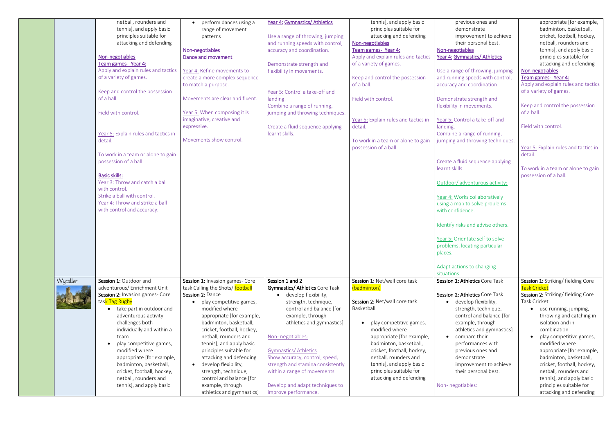|          | netball, rounders and                 | perform dances using a           | Year 4: Gymnastics/ Athletics          | tennis], and apply basic             | previous ones and                 | appropriate [for example,            |
|----------|---------------------------------------|----------------------------------|----------------------------------------|--------------------------------------|-----------------------------------|--------------------------------------|
|          | tennis], and apply basic              | range of movement                |                                        | principles suitable for              | demonstrate                       | badminton, basketball,               |
|          | principles suitable for               | patterns                         | Use a range of throwing, jumping       | attacking and defending              | improvement to achieve            | cricket, football, hockey,           |
|          | attacking and defending               |                                  | and running speeds with control,       | Non-negotiables                      | their personal best.              | netball, rounders and                |
|          |                                       | Non-negotiables                  | accuracy and coordination.             | Team games-Year 4:                   | Non-negotiables                   | tennis], and apply basic             |
|          | Non-negotiables                       | Dance and movement               |                                        | Apply and explain rules and tactics  | Year 4: Gymnastics/ Athletics     | principles suitable for              |
|          | Team games-Year 4:                    |                                  | Demonstrate strength and               | of a variety of games.               |                                   | attacking and defending              |
|          | Apply and explain rules and tactics   | Year 4: Refine movements to      | flexibility in movements.              |                                      | Use a range of throwing, jumping  | Non-negotiables                      |
|          | of a variety of games.                | create a more complex sequence   |                                        | Keep and control the possession      | and running speeds with control,  | Team games-Year 4:                   |
|          |                                       | to match a purpose.              |                                        | of a ball.                           | accuracy and coordination.        | Apply and explain rules and tactics  |
|          | Keep and control the possession       |                                  | Year 5: Control a take-off and         |                                      |                                   | of a variety of games.               |
|          | of a ball.                            | Movements are clear and fluent.  | landing.                               | Field with control.                  | Demonstrate strength and          |                                      |
|          |                                       |                                  | Combine a range of running,            |                                      | flexibility in movements.         | Keep and control the possession      |
|          | Field with control.                   | Year 5: When composing it is     | jumping and throwing techniques.       |                                      |                                   | of a ball.                           |
|          |                                       | imaginative, creative and        |                                        | Year 5: Explain rules and tactics in | Year 5: Control a take-off and    |                                      |
|          |                                       | expressive.                      | Create a fluid sequence applying       | detail.                              | landing.                          | Field with control.                  |
|          | Year 5: Explain rules and tactics in  |                                  | learnt skills.                         |                                      | Combine a range of running,       |                                      |
|          | detail.                               | Movements show control.          |                                        | To work in a team or alone to gain   | jumping and throwing techniques.  |                                      |
|          |                                       |                                  |                                        | possession of a ball.                |                                   | Year 5: Explain rules and tactics in |
|          | To work in a team or alone to gain    |                                  |                                        |                                      |                                   | detail.                              |
|          | possession of a ball.                 |                                  |                                        |                                      | Create a fluid sequence applying  |                                      |
|          |                                       |                                  |                                        |                                      | learnt skills.                    | To work in a team or alone to gain   |
|          | <b>Basic skills:</b>                  |                                  |                                        |                                      |                                   | possession of a ball.                |
|          | Year 3: Throw and catch a ball        |                                  |                                        |                                      | Outdoor/ adventurous activity:    |                                      |
|          | with control.                         |                                  |                                        |                                      |                                   |                                      |
|          | Strike a ball with control.           |                                  |                                        |                                      | Year 4: Works collaboratively     |                                      |
|          | Year 4: Throw and strike a ball       |                                  |                                        |                                      | using a map to solve problems     |                                      |
|          | with control and accuracy.            |                                  |                                        |                                      | with confidence.                  |                                      |
|          |                                       |                                  |                                        |                                      |                                   |                                      |
|          |                                       |                                  |                                        |                                      | Identify risks and advise others. |                                      |
|          |                                       |                                  |                                        |                                      |                                   |                                      |
|          |                                       |                                  |                                        |                                      | Year 5: Orientate self to solve   |                                      |
|          |                                       |                                  |                                        |                                      | problems, locating particular     |                                      |
|          |                                       |                                  |                                        |                                      | places.                           |                                      |
|          |                                       |                                  |                                        |                                      | Adapt actions to changing         |                                      |
|          |                                       |                                  |                                        |                                      | situations.                       |                                      |
| Wycoller | Session 1: Outdoor and                | Session 1: Invasion games- Core  | Session 1 and 2                        | Session 1: Net/wall core task        | Session 1: Athletics Core Task    | Session 1: Striking/fielding Core    |
|          | adventurous/ Enrichment Unit          | task Calling the Shots/ football | <b>Gymnastics/ Athletics Core Task</b> | (badminton)                          |                                   | <b>Task Cricket</b>                  |
|          | Session 2: Invasion games- Core       | Session 2: Dance                 | • develop flexibility,                 |                                      | Session 2: Athletics Core Task    | Session 2: Striking/ fielding Core   |
|          | task Tag Rugby                        | play competitive games,          | strength, technique,                   | Session 2: Net/wall core task        | • develop flexibility,            | Task Cricket                         |
|          | take part in outdoor and<br>$\bullet$ | modified where                   | control and balance [for               | Basketball                           | strength, technique,              | • use running, jumping,              |
|          | adventurous activity                  | appropriate [for example,        | example, through                       |                                      | control and balance [for          | throwing and catching in             |
|          | challenges both                       | badminton, basketball,           | athletics and gymnastics]              | play competitive games,              | example, through                  | isolation and in                     |
|          | individually and within a             | cricket, football, hockey,       |                                        | modified where                       | athletics and gymnastics]         | combination                          |
|          | team                                  | netball, rounders and            | Non-negotiables:                       | appropriate [for example,            | compare their                     | play competitive games,              |
|          | play competitive games,               | tennis], and apply basic         |                                        | badminton, basketball,               | performances with                 | modified where                       |
|          | modified where                        | principles suitable for          | <b>Gymnastics/ Athletics</b>           | cricket, football, hockey,           | previous ones and                 |                                      |
|          |                                       | attacking and defending          |                                        | netball, rounders and                | demonstrate                       | appropriate [for example,            |
|          | appropriate [for example,             |                                  | Show accuracy, control, speed,         |                                      |                                   | badminton, basketball,               |
|          | badminton, basketball,                | • develop flexibility,           | strength and stamina consistently      | tennis], and apply basic             | improvement to achieve            | cricket, football, hockey,           |
|          | cricket, football, hockey,            | strength, technique,             | within a range of movements.           | principles suitable for              | their personal best.              | netball, rounders and                |
|          | netball, rounders and                 | control and balance [for         |                                        | attacking and defending              |                                   | tennis], and apply basic             |
|          | tennis], and apply basic              | example, through                 | Develop and adapt techniques to        |                                      | Non-negotiables:                  | principles suitable for              |
|          |                                       | athletics and gymnastics]        | improve performance.                   |                                      |                                   | attacking and defending              |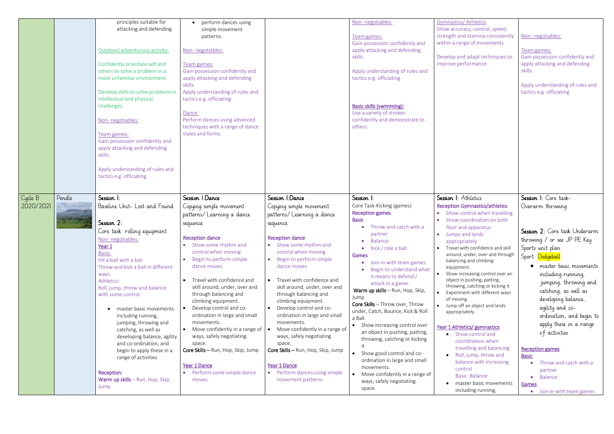|                      |        | principles suitable for<br>attacking and defending<br>Outdoor/ adventurous activity:<br>Confidently orientate self and<br>others to solve a problem in a<br>more unfamiliar environment.<br>Develop skills to solve problems in<br>intellectual and physical<br>challenges.<br>Non-negotiables:<br>Team games:<br>Gain possession confidently and<br>apply attacking and defending<br>skills.<br>Apply understanding of rules and<br>tactics e.g. officiating                                                                                                  | perform dances using<br>simple movement<br>patterns.<br>Non-negotiables:<br>Team games:<br>Gain possession confidently and<br>apply attacking and defending<br>skills<br>Apply understanding of rules and<br>tactics e.g. officiating<br>Dance:<br>Perform dances using advanced<br>techniques with a range of dance<br>styles and forms.                                                                                                                                                                                                                               |                                                                                                                                                                                                                                                                                                                                                                                                                                                                                                                                                                                                     | Non-negotiables:<br>Team games:<br>Gain possession confidently and<br>apply attacking and defending<br>skills.<br>Apply understanding of rules and<br>tactics e.g. officiating<br><b>Basic skills (swimming):</b><br>Use a variety of strokes<br>confidently and demonstrate to<br>others.                                                                                                                                                                                                                                                                                                                                                                           | <b>Gymnastics/ Athletics</b><br>Show accuracy, control, speed,<br>strength and stamina consistently<br>within a range of movements.<br>Develop and adapt techniques to<br>improve performance.                                                                                                                                                                                                                                                                                                                                                                                                                                                                                                                                                                  | Non-negotiables:<br>Team games:<br>Gain possession confidently and<br>apply attacking and defending<br>skills.<br>Apply understanding of rules and<br>tactics e.g. officiating                                                                                                                                                                                                                                                                                                                      |
|----------------------|--------|----------------------------------------------------------------------------------------------------------------------------------------------------------------------------------------------------------------------------------------------------------------------------------------------------------------------------------------------------------------------------------------------------------------------------------------------------------------------------------------------------------------------------------------------------------------|-------------------------------------------------------------------------------------------------------------------------------------------------------------------------------------------------------------------------------------------------------------------------------------------------------------------------------------------------------------------------------------------------------------------------------------------------------------------------------------------------------------------------------------------------------------------------|-----------------------------------------------------------------------------------------------------------------------------------------------------------------------------------------------------------------------------------------------------------------------------------------------------------------------------------------------------------------------------------------------------------------------------------------------------------------------------------------------------------------------------------------------------------------------------------------------------|----------------------------------------------------------------------------------------------------------------------------------------------------------------------------------------------------------------------------------------------------------------------------------------------------------------------------------------------------------------------------------------------------------------------------------------------------------------------------------------------------------------------------------------------------------------------------------------------------------------------------------------------------------------------|-----------------------------------------------------------------------------------------------------------------------------------------------------------------------------------------------------------------------------------------------------------------------------------------------------------------------------------------------------------------------------------------------------------------------------------------------------------------------------------------------------------------------------------------------------------------------------------------------------------------------------------------------------------------------------------------------------------------------------------------------------------------|-----------------------------------------------------------------------------------------------------------------------------------------------------------------------------------------------------------------------------------------------------------------------------------------------------------------------------------------------------------------------------------------------------------------------------------------------------------------------------------------------------|
| Cycle B<br>2020/2021 | Pendle | Session 1:<br>Baseline Unit- Lost and Found<br>Session 2:<br>Core task: rolling equipment<br>Non-negotiables:<br><u>Year 1</u><br>Basic:<br>Hit a ball with a bat.<br>Throw and kick a ball in different<br>ways.<br>Athletics:<br>Roll, jump, throw and balance<br>with some control.<br>master basic movements<br>including running,<br>jumping, throwing and<br>catching, as well as<br>developing balance, agility<br>and co-ordination, and<br>begin to apply these in a<br>range of activities<br>Reception:<br>Warm up skills - Run, Hop, Skip,<br>Jump | Session 1:Dance<br>Copying simple movement<br>patterns/ Learning a dance<br>sequence<br><b>Reception dance</b><br>• Show some rhythm and<br>control when moving<br>Begin to perform simple<br>dance moves<br>Travel with confidence and<br>skill around, under, over and<br>through balancing and<br>climbing equipment.<br>Develop control and co-<br>ordination in large and small<br>movements.<br>Move confidently in a range of<br>ways, safely negotiating<br>space.<br>Core Skills - Run, Hop, Skip, Jump<br>Year 1 Dance<br>Perform some simple dance<br>moves. | Session 1:Dance<br>Copying simple movement<br>patterns/Learning a dance<br>sequence<br><b>Reception dance</b><br>• Show some rhythm and<br>control when moving<br>Begin to perform simple<br>$\bullet$<br>dance moves<br>Travel with confidence and<br>skill around, under, over and<br>through balancing and<br>climbing equipment.<br>Develop control and co-<br>ordination in large and small<br>movements.<br>Move confidently in a range of<br>ways, safely negotiating<br>space.<br>Core Skills - Run, Hop, Skip, Jump<br>Year 1 Dance<br>• Perform dances using simple<br>movement patterns. | Session 1:<br>Core Task-Kicking (games)<br><b>Reception games</b><br><b>Basic</b><br>Throw and catch with a<br>partner<br>• Balance<br>• Kick / role a ball<br>Games<br>Join in with team games<br>Begin to understand what<br>it means to defend /<br>attack in a game.<br>Warm up skills - Run, Hop, Skip,<br>Jump<br>Core Skills - Throw over, Throw<br>under, Catch, Bounce, Kick & Roll<br>a Ball.<br>• Show increasing control over<br>an object in pushing, patting,<br>throwing, catching or kicking<br>• Show good control and co-<br>ordination in large and small<br>movements.<br>• Move confidently in a range of<br>ways, safely negotiating<br>space. | Session I: Athletics<br><b>Reception Gymnastics/athletics</b><br>Show control when travelling<br>Show coordination on both<br>floor and apparatus<br>• Jumps and lands<br>appropriately<br>Travel with confidence and skill<br>around, under, over and through<br>balancing and climbing<br>equipment.<br>Show increasing control over an<br>object in pushing, patting,<br>throwing, catching or kicking it<br>Experiment with different ways<br>of moving.<br>Jump off an object and lands<br>appropriately.<br>Year 1 Athletics/ gymnastics<br>• Show control and<br>coordination when<br>travelling and balancing<br>• Roll, jump, throw and<br>balance with increasing<br>control<br><b>Basic: Balance</b><br>master basic movements<br>including running, | Session I: Core task-<br>Overarm throwing<br>Session 2: Core task Underarm<br>throwing / or see JP PE Key<br>Sports unit plan<br>Sport: Dodgeball<br>• master basic movements<br>including running,<br>jumping, throwing and<br>catching, as well as<br>developing balance,<br>agility and co-<br>ordination, and begin to<br>apply these in a range<br>of activities<br><b>Reception games</b><br><b>Basic</b><br>Throw and catch with a<br>partner<br>Balance<br>Games<br>Join in with team games |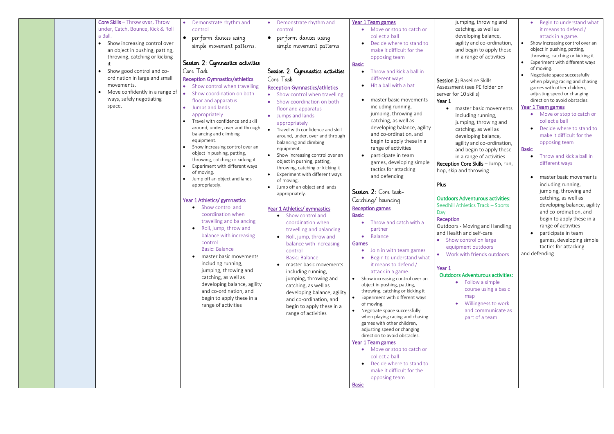| <b>Core Skills</b> - Throw over, Throw<br>under, Catch, Bounce, Kick & Roll<br>a Ball.<br>Show increasing control over<br>$\bullet$<br>an object in pushing, patting,<br>throwing, catching or kicking<br>Show good control and co-<br>ordination in large and small<br>movements.<br>Move confidently in a range of<br>ways, safely negotiating<br>space. | Demonstrate rhythm and<br>$\bullet$<br>control<br>perform dances using<br>$\bullet$<br>simple movement patterns.<br>Session 2: Cymnastics activities<br>Core Task<br><b>Reception Gymnastics/athletics</b><br>• Show control when travelling<br>Show coordination on both<br>floor and apparatus<br>Jumps and lands<br>appropriately<br>Travel with confidence and skill<br>around, under, over and through<br>balancing and climbing<br>equipment.<br>Show increasing control over an<br>object in pushing, patting,<br>throwing, catching or kicking it<br>Experiment with different ways<br>of moving.<br>Jump off an object and lands<br>appropriately.<br>Year 1 Athletics/ gymnastics<br>Show control and<br>coordination when<br>travelling and balancing<br>Roll, jump, throw and<br>balance with increasing<br>control<br><b>Basic: Balance</b><br>master basic movements<br>including running,<br>jumping, throwing and<br>catching, as well as<br>developing balance, agility<br>and co-ordination, and<br>begin to apply these in a<br>range of activities | Demonstrate rhythm and<br>$\bullet$<br>control<br>perform dances using<br>$\bullet$<br>simple movement patterns.<br>Session 2: Gymnastics activities<br>Core Task<br><b>Reception Gymnastics/athletics</b><br>• Show control when travelling<br>Show coordination on both<br>floor and apparatus<br>Jumps and lands<br>appropriately<br>Travel with confidence and skill<br>around, under, over and through<br>balancing and climbing<br>equipment.<br>Show increasing control over an<br>object in pushing, patting,<br>throwing, catching or kicking it<br>Experiment with different ways<br>of moving.<br>Jump off an object and lands<br>appropriately.<br>Year 1 Athletics/ gymnastics<br>Show control and<br>coordination when<br>travelling and balancing<br>Roll, jump, throw and<br>balance with increasing<br>control<br><b>Basic: Balance</b><br>master basic movements<br>including running,<br>jumping, throwing and<br>catching, as well as<br>developing balance, agility<br>and co-ordination, and<br>begin to apply these in a<br>range of activities | Year 1 Team games<br>Move or stop to catch or<br>collect a ball<br>Decide where to stand to<br>make it difficult for the<br>opposing team<br><b>Basic</b><br>Throw and kick a ball in<br>different ways<br>Hit a ball with a bat<br>master basic movements<br>including running,<br>jumping, throwing and<br>catching, as well as<br>developing balance, agility<br>and co-ordination, and<br>begin to apply these in a<br>range of activities<br>participate in team<br>games, developing simple<br>tactics for attacking<br>and defending<br>Session 2: Core task-<br>Catching/bouncing<br><b>Reception games</b><br><b>Basic</b><br>Throw and catch with a<br>partner<br>Balance<br>Games<br>Join in with team games<br>Begin to understand what<br>it means to defend /<br>attack in a game.<br>Show increasing control over an<br>$\bullet$<br>object in pushing, patting,<br>throwing, catching or kicking it<br>Experiment with different ways<br>$\bullet$<br>of moving.<br>Negotiate space successfully<br>$\bullet$<br>when playing racing and chasing<br>games with other children,<br>adjusting speed or changing<br>direction to avoid obstacles. | jum<br>catc<br>deve<br>agilit<br>and<br>in a<br>Session 2: Ba<br>Assessment<br>server for 10<br>Year 1<br>mas <sup>-</sup><br>inclu<br>jump<br>catc<br>deve<br>agilit<br>and<br>in a<br><b>Reception Co</b><br>hop, skip and<br>Plus<br><b>Outdoors Ad</b><br>Seedhill Athl<br>Day<br>Reception<br>Outdoors - N<br>and Health a<br>Show co<br>equipme<br>• Work wi<br>Year 1<br><b>Outdoors A</b> |
|------------------------------------------------------------------------------------------------------------------------------------------------------------------------------------------------------------------------------------------------------------------------------------------------------------------------------------------------------------|------------------------------------------------------------------------------------------------------------------------------------------------------------------------------------------------------------------------------------------------------------------------------------------------------------------------------------------------------------------------------------------------------------------------------------------------------------------------------------------------------------------------------------------------------------------------------------------------------------------------------------------------------------------------------------------------------------------------------------------------------------------------------------------------------------------------------------------------------------------------------------------------------------------------------------------------------------------------------------------------------------------------------------------------------------------------|------------------------------------------------------------------------------------------------------------------------------------------------------------------------------------------------------------------------------------------------------------------------------------------------------------------------------------------------------------------------------------------------------------------------------------------------------------------------------------------------------------------------------------------------------------------------------------------------------------------------------------------------------------------------------------------------------------------------------------------------------------------------------------------------------------------------------------------------------------------------------------------------------------------------------------------------------------------------------------------------------------------------------------------------------------------------|----------------------------------------------------------------------------------------------------------------------------------------------------------------------------------------------------------------------------------------------------------------------------------------------------------------------------------------------------------------------------------------------------------------------------------------------------------------------------------------------------------------------------------------------------------------------------------------------------------------------------------------------------------------------------------------------------------------------------------------------------------------------------------------------------------------------------------------------------------------------------------------------------------------------------------------------------------------------------------------------------------------------------------------------------------------------------------------------------------------------------------------------------------------|---------------------------------------------------------------------------------------------------------------------------------------------------------------------------------------------------------------------------------------------------------------------------------------------------------------------------------------------------------------------------------------------------|
|                                                                                                                                                                                                                                                                                                                                                            |                                                                                                                                                                                                                                                                                                                                                                                                                                                                                                                                                                                                                                                                                                                                                                                                                                                                                                                                                                                                                                                                        |                                                                                                                                                                                                                                                                                                                                                                                                                                                                                                                                                                                                                                                                                                                                                                                                                                                                                                                                                                                                                                                                        | Year 1 Team games<br>Move or stop to catch or<br>collect a ball<br>Decide where to stand to<br>make it difficult for the<br>opposing team<br><b>Basic</b>                                                                                                                                                                                                                                                                                                                                                                                                                                                                                                                                                                                                                                                                                                                                                                                                                                                                                                                                                                                                      |                                                                                                                                                                                                                                                                                                                                                                                                   |

ping, throwing and ching, as well as eloping balance, ty and co-ordination, I begin to apply these range of activities

aseline Skills (see PE folder on skills)

ter basic movements ding running, ping, throwing and ching, as well as eloping balance, ty and co-ordination, I begin to apply these range of activities ore Skills – Jump, run, d throwing

## dventurous activities:

letics Track – Sports

Moving and Handling and self-care ontrol on large ent outdoors ith friends outdoors

### dventurous activities:

- Begin to understand what it means to defend / attack in a game.
- Show increasing control over an object in pushing, patting, throwing, catching or kicking it
- Experiment with different ways of moving.
- Negotiate space successfully when playing racing and chasing games with other children, adjusting speed or changing direction to avoid obstacles.

#### Year 1 Team games

- Move or stop to catch or collect a ball
- Decide where to stand to make it difficult for the opposing team

- Throw and kick a ball in different ways
- master basic movements including running, jumping, throwing and catching, as well as developing balance, agility and co-ordination, and begin to apply these in a range of activities
- participate in team games, developing simple tactics for attacking

- Follow a simple course using a basic map
- Willingness to work
- and communicate as
- part of a team

#### Basic

and defending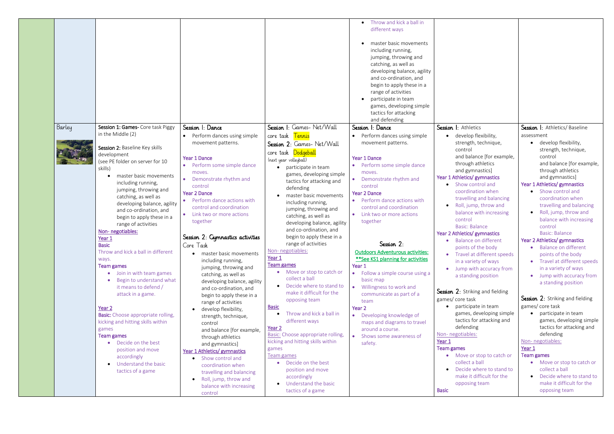|        |                                                                                                                                                                                                                                                                                                                                                                                                                                                                                                                                                                                                                                                                                                                                              |                                                                                                                                                                                                                                                                                                                                                                                                                                                                                                                                                                                                                                                                                   |                                                                                                                                                                                                                                                                                                                                                                                                                                                                                                                                                                                                                                                                                                                                           | Throw and kick a ball in<br>different ways<br>master basic movements<br>including running,<br>jumping, throwing and<br>catching, as well as<br>developing balance, agility<br>and co-ordination, and<br>begin to apply these in a<br>range of activities<br>participate in team<br>games, developing simple<br>tactics for attacking<br>and defending                                                                                                                                                                                                                                                |                                                                                                                                                                                                                                                                                                                                                                                                                                                                                                                                                                                                                                                                                                                                                    |                                                                                                                                                                                                                                                                                                                                                                                                                                                                                                                                                                                                                                                                                                                                           |
|--------|----------------------------------------------------------------------------------------------------------------------------------------------------------------------------------------------------------------------------------------------------------------------------------------------------------------------------------------------------------------------------------------------------------------------------------------------------------------------------------------------------------------------------------------------------------------------------------------------------------------------------------------------------------------------------------------------------------------------------------------------|-----------------------------------------------------------------------------------------------------------------------------------------------------------------------------------------------------------------------------------------------------------------------------------------------------------------------------------------------------------------------------------------------------------------------------------------------------------------------------------------------------------------------------------------------------------------------------------------------------------------------------------------------------------------------------------|-------------------------------------------------------------------------------------------------------------------------------------------------------------------------------------------------------------------------------------------------------------------------------------------------------------------------------------------------------------------------------------------------------------------------------------------------------------------------------------------------------------------------------------------------------------------------------------------------------------------------------------------------------------------------------------------------------------------------------------------|------------------------------------------------------------------------------------------------------------------------------------------------------------------------------------------------------------------------------------------------------------------------------------------------------------------------------------------------------------------------------------------------------------------------------------------------------------------------------------------------------------------------------------------------------------------------------------------------------|----------------------------------------------------------------------------------------------------------------------------------------------------------------------------------------------------------------------------------------------------------------------------------------------------------------------------------------------------------------------------------------------------------------------------------------------------------------------------------------------------------------------------------------------------------------------------------------------------------------------------------------------------------------------------------------------------------------------------------------------------|-------------------------------------------------------------------------------------------------------------------------------------------------------------------------------------------------------------------------------------------------------------------------------------------------------------------------------------------------------------------------------------------------------------------------------------------------------------------------------------------------------------------------------------------------------------------------------------------------------------------------------------------------------------------------------------------------------------------------------------------|
| Barley | Session 1: Games- Core task Piggy<br>in the Middle (2)                                                                                                                                                                                                                                                                                                                                                                                                                                                                                                                                                                                                                                                                                       | Session I: Dance                                                                                                                                                                                                                                                                                                                                                                                                                                                                                                                                                                                                                                                                  | Session I: Games- Net/Wall                                                                                                                                                                                                                                                                                                                                                                                                                                                                                                                                                                                                                                                                                                                | Session I: Dance                                                                                                                                                                                                                                                                                                                                                                                                                                                                                                                                                                                     | Session I: Athletics                                                                                                                                                                                                                                                                                                                                                                                                                                                                                                                                                                                                                                                                                                                               | Session I: Athletics/Baseline                                                                                                                                                                                                                                                                                                                                                                                                                                                                                                                                                                                                                                                                                                             |
|        |                                                                                                                                                                                                                                                                                                                                                                                                                                                                                                                                                                                                                                                                                                                                              | Perform dances using simple<br>movement patterns.                                                                                                                                                                                                                                                                                                                                                                                                                                                                                                                                                                                                                                 | core task Tennis<br>Session 2: Games- Net/Wall                                                                                                                                                                                                                                                                                                                                                                                                                                                                                                                                                                                                                                                                                            | Perform dances using simple<br>movement patterns.                                                                                                                                                                                                                                                                                                                                                                                                                                                                                                                                                    | develop flexibility,<br>$\bullet$<br>strength, technique,                                                                                                                                                                                                                                                                                                                                                                                                                                                                                                                                                                                                                                                                                          | assessment<br>develop flexibility,                                                                                                                                                                                                                                                                                                                                                                                                                                                                                                                                                                                                                                                                                                        |
|        | Session 2: Baseline Key skills<br>development<br>(see PE folder on server for 10<br>skills)<br>master basic movements<br>including running,<br>jumping, throwing and<br>catching, as well as<br>developing balance, agility<br>and co-ordination, and<br>begin to apply these in a<br>range of activities<br>Non-negotiables:<br>Year 1<br><b>Basic</b><br>Throw and kick a ball in different<br>ways.<br>Team games<br>• Join in with team games<br>Begin to understand what<br>it means to defend /<br>attack in a game.<br>Year <sub>2</sub><br><b>Basic:</b> Choose appropriate rolling,<br>kicking and hitting skills within<br>games<br>Team games<br>• Decide on the best<br>position and move<br>accordingly<br>Understand the basic | <b>Year 1 Dance</b><br>• Perform some simple dance<br>moves.<br>Demonstrate rhythm and<br>control<br><b>Year 2 Dance</b><br>Perform dance actions with<br>control and coordination<br>• Link two or more actions<br>together<br>Session 2: Cymnastics activities<br>Core Task<br>master basic movements<br>including running,<br>jumping, throwing and<br>catching, as well as<br>developing balance, agility<br>and co-ordination, and<br>begin to apply these in a<br>range of activities<br>develop flexibility,<br>strength, technique,<br>control<br>and balance [for example,<br>through athletics<br>and gymnastics]<br>Year 1 Athletics/ gymnastics<br>• Show control and | core task Dodgeball<br>(next year volleyball)<br>participate in team<br>games, developing simple<br>tactics for attacking and<br>defending<br>master basic movements<br>including running,<br>jumping, throwing and<br>catching, as well as<br>developing balance, agility<br>and co-ordination, and<br>begin to apply these in a<br>range of activities<br>Non-negotiables:<br>Year 1<br>Team games<br>• Move or stop to catch or<br>collect a ball<br>Decide where to stand to<br>make it difficult for the<br>opposing team<br><b>Basic</b><br>Throw and kick a ball in<br>different ways<br>Year <sub>2</sub><br>Basic: Choose appropriate rolling,<br>kicking and hitting skills within<br>games<br>Team games<br>Decide on the best | <b>Year 1 Dance</b><br>• Perform some simple dance<br>moves.<br>• Demonstrate rhythm and<br>control<br><b>Year 2 Dance</b><br>• Perform dance actions with<br>control and coordination<br>• Link two or more actions<br>together<br>Session 2:<br><b>Outdoors Adventurous activities:</b><br>** See KS1 planning for activities<br>Year 1<br>• Follow a simple course using a<br>basic map<br>Willingness to work and<br>communicate as part of a<br>team<br>Year <sub>2</sub><br>• Developing knowledge of<br>maps and diagrams to travel<br>around a course.<br>Shows some awareness of<br>safety. | control<br>and balance [for example,<br>through athletics<br>and gymnastics]<br>Year 1 Athletics/ gymnastics<br>Show control and<br>coordination when<br>travelling and balancing<br>Roll, jump, throw and<br>$\bullet$<br>balance with increasing<br>control<br><b>Basic: Balance</b><br>Year 2 Athletics/ gymnastics<br>Balance on different<br>points of the body<br>Travel at different speeds<br>$\bullet$<br>in a variety of ways<br>• Jump with accuracy from<br>a standing position<br><b>Session 2:</b> Striking and fielding<br>games/core task<br>participate in team<br>games, developing simple<br>tactics for attacking and<br>defending<br>Non-negotiables:<br>Year 1<br>Team games<br>• Move or stop to catch or<br>collect a ball | strength, technique,<br>control<br>and balance [for example,<br>through athletics<br>and gymnastics]<br>Year 1 Athletics/ gymnastics<br>Show control and<br>coordination when<br>travelling and balancing<br>Roll, jump, throw and<br>balance with increasing<br>control<br><b>Basic: Balance</b><br>Year 2 Athletics/ gymnastics<br>• Balance on different<br>points of the body<br>Travel at different speeds<br>in a variety of ways<br>Jump with accuracy from<br>a standing position<br>Session 2: Striking and fielding<br>games/core task<br>participate in team<br>$\bullet$<br>games, developing simple<br>tactics for attacking and<br>defending<br>Non-negotiables:<br>Year 1<br><b>Team games</b><br>Move or stop to catch or |
|        | tactics of a game                                                                                                                                                                                                                                                                                                                                                                                                                                                                                                                                                                                                                                                                                                                            | coordination when<br>travelling and balancing<br>Roll, jump, throw and<br>balance with increasing<br>control                                                                                                                                                                                                                                                                                                                                                                                                                                                                                                                                                                      | position and move<br>accordingly<br>• Understand the basic<br>tactics of a game                                                                                                                                                                                                                                                                                                                                                                                                                                                                                                                                                                                                                                                           |                                                                                                                                                                                                                                                                                                                                                                                                                                                                                                                                                                                                      | Decide where to stand to<br>$\bullet$<br>make it difficult for the<br>opposing team<br><b>Basic</b>                                                                                                                                                                                                                                                                                                                                                                                                                                                                                                                                                                                                                                                | collect a ball<br>Decide where to stand to<br>make it difficult for the<br>opposing team                                                                                                                                                                                                                                                                                                                                                                                                                                                                                                                                                                                                                                                  |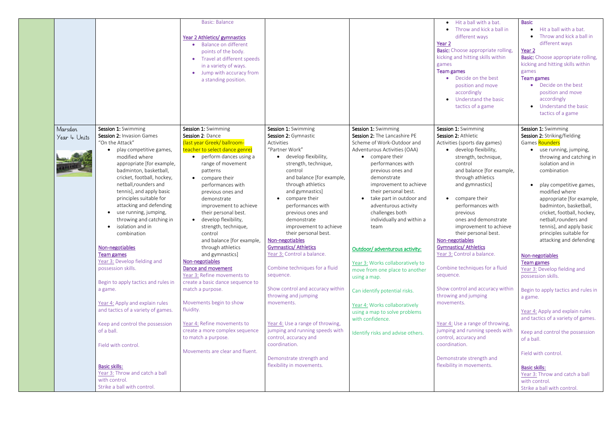|                         |                                                                                                                                                                                                                                                                                                                                                                                                                                                                                                                                                                                                                                                                                                                                     | <b>Basic: Balance</b><br>Year 2 Athletics/ gymnastics<br>Balance on different<br>$\bullet$<br>points of the body.<br>Travel at different speeds<br>$\bullet$<br>in a variety of ways.<br>Jump with accuracy from<br>a standing position.                                                                                                                                                                                                                                                                                                                                                                                                                                                                                                                                  |                                                                                                                                                                                                                                                                                                                                                                                                                                                                                                                                                                                                                                                                      |                                                                                                                                                                                                                                                                                                                                                                                                                                                                                                                                                                                                                                               | • Hit a ball with a bat.<br>Throw and kick a ball in<br>different ways<br>Year <sub>2</sub><br><b>Basic:</b> Choose appropriate rolling,<br>kicking and hitting skills within<br>games<br><b>Team games</b><br>• Decide on the best<br>position and move<br>accordingly<br>• Understand the basic<br>tactics of a game                                                                                                                                                                                                                                                                                                                                                            | <b>Basic</b><br>Hit a ball with a bat.<br>Throw and kick a ball in<br>different ways<br>Year <sub>2</sub><br><b>Basic:</b> Choose appropriate rolling,<br>kicking and hitting skills within<br>games<br><b>Team games</b><br>• Decide on the best<br>position and move<br>accordingly<br>Understand the basic<br>$\bullet$<br>tactics of a game                                                                                                                                                                                                                                                                                                                                                               |
|-------------------------|-------------------------------------------------------------------------------------------------------------------------------------------------------------------------------------------------------------------------------------------------------------------------------------------------------------------------------------------------------------------------------------------------------------------------------------------------------------------------------------------------------------------------------------------------------------------------------------------------------------------------------------------------------------------------------------------------------------------------------------|---------------------------------------------------------------------------------------------------------------------------------------------------------------------------------------------------------------------------------------------------------------------------------------------------------------------------------------------------------------------------------------------------------------------------------------------------------------------------------------------------------------------------------------------------------------------------------------------------------------------------------------------------------------------------------------------------------------------------------------------------------------------------|----------------------------------------------------------------------------------------------------------------------------------------------------------------------------------------------------------------------------------------------------------------------------------------------------------------------------------------------------------------------------------------------------------------------------------------------------------------------------------------------------------------------------------------------------------------------------------------------------------------------------------------------------------------------|-----------------------------------------------------------------------------------------------------------------------------------------------------------------------------------------------------------------------------------------------------------------------------------------------------------------------------------------------------------------------------------------------------------------------------------------------------------------------------------------------------------------------------------------------------------------------------------------------------------------------------------------------|-----------------------------------------------------------------------------------------------------------------------------------------------------------------------------------------------------------------------------------------------------------------------------------------------------------------------------------------------------------------------------------------------------------------------------------------------------------------------------------------------------------------------------------------------------------------------------------------------------------------------------------------------------------------------------------|---------------------------------------------------------------------------------------------------------------------------------------------------------------------------------------------------------------------------------------------------------------------------------------------------------------------------------------------------------------------------------------------------------------------------------------------------------------------------------------------------------------------------------------------------------------------------------------------------------------------------------------------------------------------------------------------------------------|
| Marsden<br>Year 4 Units | Session 1: Swimming<br>Session 2: Invasion Games<br>"On the Attack"<br>play competitive games,<br>modified where<br>appropriate [for example,<br>badminton, basketball,<br>cricket, football, hockey,<br>netball, rounders and<br>tennis], and apply basic<br>principles suitable for<br>attacking and defending<br>use running, jumping,<br>$\bullet$<br>throwing and catching in<br>isolation and in<br>$\bullet$<br>combination<br>Non-negotiables<br><b>Team games</b><br>Year 3: Develop fielding and<br>possession skills.<br>Begin to apply tactics and rules in<br>a game.<br>Year 4: Apply and explain rules<br>and tactics of a variety of games.<br>Keep and control the possession<br>of a ball.<br>Field with control. | Session 1: Swimming<br>Session 2: Dance<br>(last year Greek/ ballroom-<br>teacher to select dance genre)<br>perform dances using a<br>$\bullet$<br>range of movement<br>patterns<br>compare their<br>$\bullet$<br>performances with<br>previous ones and<br>demonstrate<br>improvement to achieve<br>their personal best.<br>develop flexibility,<br>$\bullet$<br>strength, technique,<br>control<br>and balance [for example,<br>through athletics<br>and gymnastics]<br>Non-negotiables<br>Dance and movement<br>Year 3: Refine movements to<br>create a basic dance sequence to<br>match a purpose.<br>Movements begin to show<br>fluidity.<br>Year 4: Refine movements to<br>create a more complex sequence<br>to match a purpose.<br>Movements are clear and fluent. | Session 1: Swimming<br>Session 2: Gymnastic<br>Activities<br>"Partner Work"<br>develop flexibility,<br>strength, technique,<br>control<br>and balance [for example,<br>through athletics<br>and gymnastics]<br>• compare their<br>performances with<br>previous ones and<br>demonstrate<br>improvement to achieve<br>their personal best.<br>Non-negotiables<br><b>Gymnastics/ Athletics</b><br>Year 3: Control a balance.<br>Combine techniques for a fluid<br>sequence.<br>Show control and accuracy within<br>throwing and jumping<br>movements.<br>Year 4: Use a range of throwing,<br>jumping and running speeds with<br>control, accuracy and<br>coordination. | Session 1: Swimming<br>Session 2: The Lancashire PE<br>Scheme of Work-Outdoor and<br>Adventurous Activities (OAA)<br>compare their<br>performances with<br>previous ones and<br>demonstrate<br>improvement to achieve<br>their personal best.<br>take part in outdoor and<br>adventurous activity<br>challenges both<br>individually and within a<br>team<br>Outdoor/ adventurous activity:<br>Year 3: Works collaboratively to<br>move from one place to another<br>using a map.<br>Can identify potential risks.<br>Year 4: Works collaboratively<br>using a map to solve problems<br>with confidence.<br>Identify risks and advise others. | Session 1: Swimming<br>Session 2: Athletic<br>Activities (sports day games)<br>• develop flexibility,<br>strength, technique,<br>control<br>and balance [for example,<br>through athletics<br>and gymnastics]<br>compare their<br>$\bullet$<br>performances with<br>previous<br>ones and demonstrate<br>improvement to achieve<br>their personal best.<br>Non-negotiables<br><b>Gymnastics/ Athletics</b><br>Year 3: Control a balance.<br>Combine techniques for a fluid<br>sequence.<br>Show control and accuracy within<br>throwing and jumping<br>movements.<br>Year 4: Use a range of throwing,<br>jumping and running speeds with<br>control, accuracy and<br>coordination. | Session 1: Swimming<br>Session 2: Striking/fielding<br>Games Rounders<br>• use running, jumping,<br>throwing and catching in<br>isolation and in<br>combination<br>play competitive games,<br>modified where<br>appropriate [for example,<br>badminton, basketball,<br>cricket, football, hockey,<br>netball, rounders and<br>tennis], and apply basic<br>principles suitable for<br>attacking and defending<br>Non-negotiables<br><b>Team games</b><br>Year 3: Develop fielding and<br>possession skills.<br>Begin to apply tactics and rules in<br>a game.<br>Year 4: Apply and explain rules<br>and tactics of a variety of games.<br>Keep and control the possession<br>of a ball.<br>Field with control. |
|                         | <b>Basic skills:</b><br>Year 3: Throw and catch a ball<br>with control.<br>Strike a ball with control.                                                                                                                                                                                                                                                                                                                                                                                                                                                                                                                                                                                                                              |                                                                                                                                                                                                                                                                                                                                                                                                                                                                                                                                                                                                                                                                                                                                                                           | Demonstrate strength and<br>flexibility in movements.                                                                                                                                                                                                                                                                                                                                                                                                                                                                                                                                                                                                                |                                                                                                                                                                                                                                                                                                                                                                                                                                                                                                                                                                                                                                               | Demonstrate strength and<br>flexibility in movements.                                                                                                                                                                                                                                                                                                                                                                                                                                                                                                                                                                                                                             | <b>Basic skills:</b><br>Year 3: Throw and catch a ball<br>with control.<br>Strike a ball with control.                                                                                                                                                                                                                                                                                                                                                                                                                                                                                                                                                                                                        |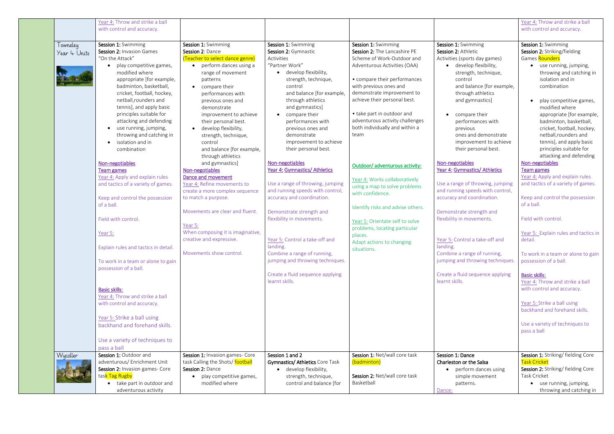|                          | Year 4: Throw and strike a ball<br>with control and accuracy.                                                                                                                                                                                                                                                                                                                                          |                                                                                                                                                                                                                                                                                                                                                          |                                                                                                                                                                                                                                                                                                                                                          |                                                                                                                                                                                                                                                                                                                                                      |                                                                                                                                                                                                                                                                                                                                                         | Year 4: Throw and strike a ball<br>with control and accuracy.                                                                                                                                                                                                                                                                                                 |
|--------------------------|--------------------------------------------------------------------------------------------------------------------------------------------------------------------------------------------------------------------------------------------------------------------------------------------------------------------------------------------------------------------------------------------------------|----------------------------------------------------------------------------------------------------------------------------------------------------------------------------------------------------------------------------------------------------------------------------------------------------------------------------------------------------------|----------------------------------------------------------------------------------------------------------------------------------------------------------------------------------------------------------------------------------------------------------------------------------------------------------------------------------------------------------|------------------------------------------------------------------------------------------------------------------------------------------------------------------------------------------------------------------------------------------------------------------------------------------------------------------------------------------------------|---------------------------------------------------------------------------------------------------------------------------------------------------------------------------------------------------------------------------------------------------------------------------------------------------------------------------------------------------------|---------------------------------------------------------------------------------------------------------------------------------------------------------------------------------------------------------------------------------------------------------------------------------------------------------------------------------------------------------------|
| Towneley<br>Year 4 Units | Session 1: Swimming<br>Session 2: Invasion Games<br>"On the Attack"<br>play competitive games,<br>modified where<br>appropriate [for example,<br>badminton, basketball,<br>cricket, football, hockey,<br>netball, rounders and<br>tennis], and apply basic<br>principles suitable for<br>attacking and defending<br>use running, jumping,<br>$\bullet$<br>throwing and catching in<br>isolation and in | Session 1: Swimming<br>Session 2: Dance<br>(Teacher to select dance genre)<br>perform dances using a<br>$\bullet$<br>range of movement<br>patterns<br>• compare their<br>performances with<br>previous ones and<br>demonstrate<br>improvement to achieve<br>their personal best.<br>develop flexibility,<br>$\bullet$<br>strength, technique,<br>control | Session 1: Swimming<br>Session 2: Gymnastic<br>Activities<br>"Partner Work"<br>develop flexibility,<br>strength, technique,<br>control<br>and balance [for example,<br>through athletics<br>and gymnastics]<br>• compare their<br>performances with<br>previous ones and<br>demonstrate<br>improvement to achieve                                        | Session 1: Swimming<br>Session 2: The Lancashire PE<br>Scheme of Work-Outdoor and<br>Adventurous Activities (OAA)<br>• compare their performances<br>with previous ones and<br>demonstrate improvement to<br>achieve their personal best.<br>• take part in outdoor and<br>adventurous activity challenges<br>both individually and within a<br>team | Session 1: Swimming<br>Session 2: Athletic<br>Activities (sports day games)<br>• develop flexibility,<br>strength, technique,<br>control<br>and balance [for example,<br>through athletics<br>and gymnastics]<br>• compare their<br>performances with<br>previous<br>ones and demonstrate<br>improvement to achieve                                     | Session 1: Swimming<br>Session 2: Striking/fielding<br>Games Rounders<br>use running, jumping,<br>throwing and catching in<br>isolation and in<br>combination<br>play competitive games,<br>modified where<br>appropriate [for example,<br>badminton, basketball,<br>cricket, football, hockey,<br>netball, rounders and<br>tennis], and apply basic          |
|                          | combination<br>Non-negotiables<br><b>Team games</b><br>Year 4: Apply and explain rules<br>and tactics of a variety of games.<br>Keep and control the possession<br>of a ball.<br>Field with control.<br>Year 5:<br>Explain rules and tactics in detail.<br>To work in a team or alone to gain<br>possession of a ball.                                                                                 | and balance [for example,<br>through athletics<br>and gymnastics]<br>Non-negotiables<br>Dance and movement<br>Year 4: Refine movements to<br>create a more complex sequence<br>to match a purpose.<br>Movements are clear and fluent.<br>Year 5:<br>When composing it is imaginative,<br>creative and expressive.<br>Movements show control.             | their personal best.<br>Non-negotiables<br>Year 4: Gymnastics/ Athletics<br>Use a range of throwing, jumping<br>and running speeds with control,<br>accuracy and coordination.<br>Demonstrate strength and<br>flexibility in movements.<br>Year 5: Control a take-off and<br>landing.<br>Combine a range of running,<br>jumping and throwing techniques. | Outdoor/ adventurous activity:<br>Year 4: Works collaboratively<br>using a map to solve problems<br>with confidence.<br>Identify risks and advise others.<br>Year 5: Orientate self to solve<br>problems, locating particular<br>places.<br>Adapt actions to changing<br>situations.                                                                 | their personal best.<br>Non-negotiables<br>Year 4: Gymnastics/ Athletics<br>Use a range of throwing, jumping<br>and running speeds with control,<br>accuracy and coordination.<br>Demonstrate strength and<br>flexibility in movements.<br>Year 5: Control a take-off and<br>landing.<br>Combine a range of running,<br>jumping and throwing techniques | principles suitable for<br>attacking and defending<br>Non-negotiables<br><b>Team games</b><br>Year 4: Apply and explain rules<br>and tactics of a variety of games.<br>Keep and control the possession<br>of a ball.<br>Field with control.<br>Year 5: Explain rules and tactics in<br>detail.<br>To work in a team or alone to gain<br>possession of a ball. |
|                          | <b>Basic skills:</b><br>Year 4: Throw and strike a ball<br>with control and accuracy.<br>Year 5: Strike a ball using<br>backhand and forehand skills.<br>Use a variety of techniques to<br>pass a ball                                                                                                                                                                                                 |                                                                                                                                                                                                                                                                                                                                                          | Create a fluid sequence applying<br>learnt skills.                                                                                                                                                                                                                                                                                                       |                                                                                                                                                                                                                                                                                                                                                      | Create a fluid sequence applying<br>learnt skills.                                                                                                                                                                                                                                                                                                      | <b>Basic skills:</b><br>Year 4: Throw and strike a ball<br>with control and accuracy.<br>Year 5: Strike a ball using<br>backhand and forehand skills.<br>Use a variety of techniques to<br>pass a ball                                                                                                                                                        |
| Wycoller                 | Session 1: Outdoor and<br>adventurous/ Enrichment Unit<br>Session 2: Invasion games- Core<br>tas <mark>k Tag Rugby</mark><br>take part in outdoor and<br>adventurous activity                                                                                                                                                                                                                          | Session 1: Invasion games- Core<br>task Calling the Shots/ football<br>Session 2: Dance<br>play competitive games,<br>modified where                                                                                                                                                                                                                     | Session 1 and 2<br><b>Gymnastics/ Athletics Core Task</b><br>• develop flexibility,<br>strength, technique,<br>control and balance [for                                                                                                                                                                                                                  | Session 1: Net/wall core task<br>(badminton)<br>Session 2: Net/wall core task<br>Basketball                                                                                                                                                                                                                                                          | Session 1: Dance<br>Charleston or the Salsa<br>• perform dances using<br>simple movement<br>patterns.<br>Dance:                                                                                                                                                                                                                                         | Session 1: Striking/ fielding Core<br><b>Task Cricket</b><br>Session 2: Striking/ fielding Core<br>Task Cricket<br>use running, jumping,<br>throwing and catching in                                                                                                                                                                                          |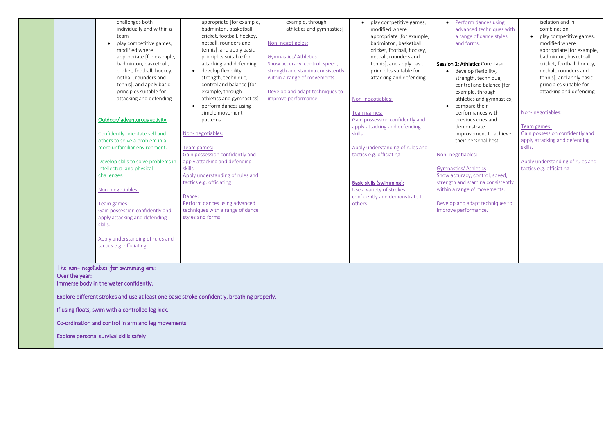| challenges both<br>individually and within a<br>team<br>play competitive games,<br>$\bullet$<br>modified where<br>appropriate [for example,<br>badminton, basketball,<br>cricket, football, hockey,<br>netball, rounders and<br>tennis], and apply basic<br>principles suitable for<br>attacking and defending<br>Outdoor/ adventurous activity:<br>Confidently orientate self and<br>others to solve a problem in a<br>more unfamiliar environment.<br>Develop skills to solve problems in<br>intellectual and physical<br>challenges.<br>Non-negotiables:<br>Team games:<br>Gain possession confidently and<br>apply attacking and defending<br>skills.<br>Apply understanding of rules and<br>tactics e.g. officiating | appropriate [for example,<br>badminton, basketball,<br>cricket, football, hockey,<br>netball, rounders and<br>tennis], and apply basic<br>principles suitable for<br>attacking and defending<br>develop flexibility,<br>strength, technique,<br>control and balance [for<br>example, through<br>athletics and gymnastics]<br>perform dances using<br>simple movement<br>patterns.<br>Non-negotiables:<br>Team games:<br>Gain possession confidently and<br>apply attacking and defending<br>skills.<br>Apply understanding of rules and<br>tactics e.g. officiating<br>Dance:<br>Perform dances using advanced<br>techniques with a range of dance<br>styles and forms. | example, through<br>athletics and gymnastics]<br>Non-negotiables:<br><b>Gymnastics/ Athletics</b><br>Show accuracy, control, speed,<br>strength and stamina consistently<br>within a range of movements.<br>Develop and adapt techniques to<br>improve performance. | play competitive games,<br>modified where<br>appropriate [for example,<br>badminton, basketball,<br>cricket, football, hockey,<br>netball, rounders and<br>tennis], and apply basic<br>principles suitable for<br>attacking and defending<br>Non-negotiables:<br>Team games:<br>Gain possession confidently and<br>apply attacking and defending<br>skills.<br>Apply understanding of rules and<br>tactics e.g. officiating<br><b>Basic skills (swimming):</b><br>Use a variety of strokes<br>confidently and demonstrate to<br>others. | Perform dance<br>$\bullet$<br>advanced tech<br>a range of dar<br>and forms.<br>Session 2: Athletics Co<br>develop flexib<br>$\bullet$<br>strength, tech<br>control and ba<br>example, thro<br>athletics and g<br>compare their<br>$\bullet$<br>performances<br>previous ones<br>demonstrate<br>improvement<br>their personal<br>Non-negotiables:<br><b>Gymnastics/ Athletics</b><br>Show accuracy, contro<br>strength and stamina<br>within a range of move<br>Develop and adapt ted<br>improve performance. |
|---------------------------------------------------------------------------------------------------------------------------------------------------------------------------------------------------------------------------------------------------------------------------------------------------------------------------------------------------------------------------------------------------------------------------------------------------------------------------------------------------------------------------------------------------------------------------------------------------------------------------------------------------------------------------------------------------------------------------|-------------------------------------------------------------------------------------------------------------------------------------------------------------------------------------------------------------------------------------------------------------------------------------------------------------------------------------------------------------------------------------------------------------------------------------------------------------------------------------------------------------------------------------------------------------------------------------------------------------------------------------------------------------------------|---------------------------------------------------------------------------------------------------------------------------------------------------------------------------------------------------------------------------------------------------------------------|-----------------------------------------------------------------------------------------------------------------------------------------------------------------------------------------------------------------------------------------------------------------------------------------------------------------------------------------------------------------------------------------------------------------------------------------------------------------------------------------------------------------------------------------|--------------------------------------------------------------------------------------------------------------------------------------------------------------------------------------------------------------------------------------------------------------------------------------------------------------------------------------------------------------------------------------------------------------------------------------------------------------------------------------------------------------|
| The non-negotiables for swimming are:<br>Over the year:<br>Immerse body in the water confidently.<br>Explore different strokes and use at least one basic stroke confidently, breathing properly.<br>If using floats, swim with a controlled leg kick.<br>Co-ordination and control in arm and leg movements.<br>Explore personal survival skills safely                                                                                                                                                                                                                                                                                                                                                                  |                                                                                                                                                                                                                                                                                                                                                                                                                                                                                                                                                                                                                                                                         |                                                                                                                                                                                                                                                                     |                                                                                                                                                                                                                                                                                                                                                                                                                                                                                                                                         |                                                                                                                                                                                                                                                                                                                                                                                                                                                                                                              |
|                                                                                                                                                                                                                                                                                                                                                                                                                                                                                                                                                                                                                                                                                                                           |                                                                                                                                                                                                                                                                                                                                                                                                                                                                                                                                                                                                                                                                         |                                                                                                                                                                                                                                                                     |                                                                                                                                                                                                                                                                                                                                                                                                                                                                                                                                         |                                                                                                                                                                                                                                                                                                                                                                                                                                                                                                              |

| Perform dances using<br>advanced techniques with<br>a range of dance styles<br>and forms.                                                                                    | isolation and in<br>combination<br>play competitive games,<br>modified where<br>appropriate [for example,<br>badminton, basketball,   |
|------------------------------------------------------------------------------------------------------------------------------------------------------------------------------|---------------------------------------------------------------------------------------------------------------------------------------|
| Session 2: Athletics Core Task<br>develop flexibility,<br>strength, technique,<br>control and balance [for<br>example, through<br>athletics and gymnastics]<br>compare their | cricket, football, hockey,<br>netball, rounders and<br>tennis], and apply basic<br>principles suitable for<br>attacking and defending |
| performances with<br>previous ones and<br>demonstrate<br>improvement to achieve<br>their personal best.                                                                      | Non-negotiables:<br>Team games:<br>Gain possession confidently and<br>apply attacking and defending                                   |
| Non-negotiables:                                                                                                                                                             | skills.                                                                                                                               |
| <b>Gymnastics/ Athletics</b><br>Show accuracy, control, speed,<br>strength and stamina consistently<br>within a range of movements.                                          | Apply understanding of rules and<br>tactics e.g. officiating                                                                          |
| Develop and adapt techniques to<br>improve performance.                                                                                                                      |                                                                                                                                       |
|                                                                                                                                                                              |                                                                                                                                       |